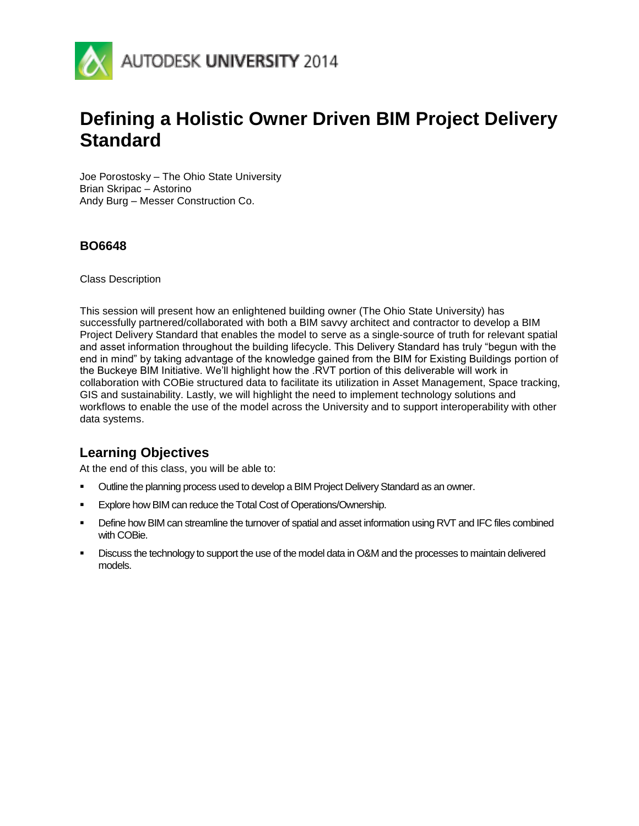

# **Defining a Holistic Owner Driven BIM Project Delivery Standard**

Joe Porostosky – The Ohio State University Brian Skripac – Astorino Andy Burg – Messer Construction Co.

#### **BO6648**

Class Description

This session will present how an enlightened building owner (The Ohio State University) has successfully partnered/collaborated with both a BIM savvy architect and contractor to develop a BIM Project Delivery Standard that enables the model to serve as a single-source of truth for relevant spatial and asset information throughout the building lifecycle. This Delivery Standard has truly "begun with the end in mind" by taking advantage of the knowledge gained from the BIM for Existing Buildings portion of the Buckeye BIM Initiative. We'll highlight how the .RVT portion of this deliverable will work in collaboration with COBie structured data to facilitate its utilization in Asset Management, Space tracking, GIS and sustainability. Lastly, we will highlight the need to implement technology solutions and workflows to enable the use of the model across the University and to support interoperability with other data systems.

# **Learning Objectives**

At the end of this class, you will be able to:

- **UURE:** Outline the planning process used to develop a BIM Project Delivery Standard as an owner.
- **Explore how BIM can reduce the Total Cost of Operations/Ownership.**
- Define how BIM can streamline the turnover of spatial and asset information using RVT and IFC files combined with COBie.
- **EXECUSE THE USE OF SUPPORT THE USE OF SUPPORT OF A LIGATE IS CONSE DESCUSS** to maintain delivered models.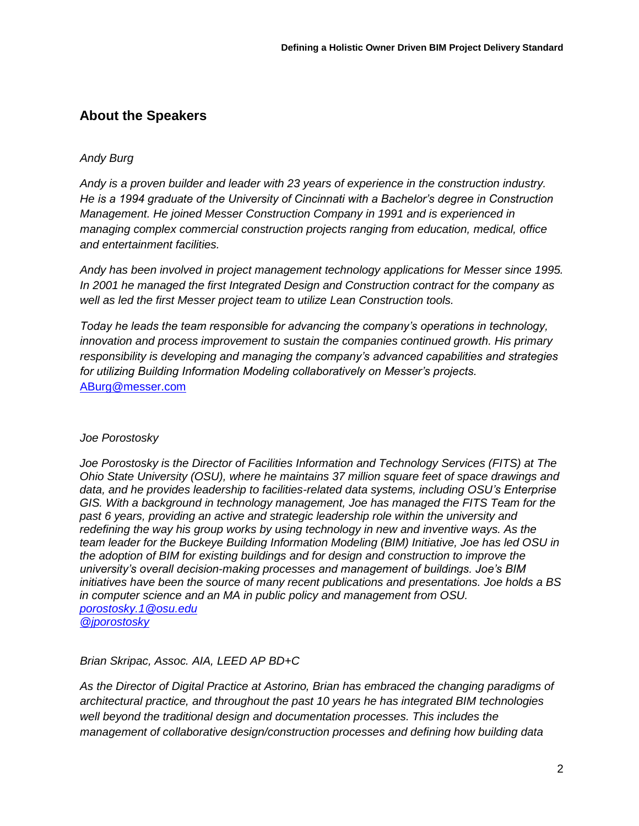# **About the Speakers**

#### *Andy Burg*

*Andy is a proven builder and leader with 23 years of experience in the construction industry. He is a 1994 graduate of the University of Cincinnati with a Bachelor's degree in Construction Management. He joined Messer Construction Company in 1991 and is experienced in managing complex commercial construction projects ranging from education, medical, office and entertainment facilities.*

*Andy has been involved in project management technology applications for Messer since 1995. In 2001 he managed the first Integrated Design and Construction contract for the company as well as led the first Messer project team to utilize Lean Construction tools.* 

*Today he leads the team responsible for advancing the company's operations in technology, innovation and process improvement to sustain the companies continued growth. His primary responsibility is developing and managing the company's advanced capabilities and strategies for utilizing Building Information Modeling collaboratively on Messer's projects.*  [ABurg@messer.com](mailto:ABurg@messer.com)

#### *Joe Porostosky*

*Joe Porostosky is the Director of Facilities Information and Technology Services (FITS) at The Ohio State University (OSU), where he maintains 37 million square feet of space drawings and data, and he provides leadership to facilities-related data systems, including OSU's Enterprise*  GIS. With a background in technology management, Joe has managed the FITS Team for the *past 6 years, providing an active and strategic leadership role within the university and redefining the way his group works by using technology in new and inventive ways. As the team leader for the Buckeye Building Information Modeling (BIM) Initiative, Joe has led OSU in the adoption of BIM for existing buildings and for design and construction to improve the university's overall decision-making processes and management of buildings. Joe's BIM initiatives have been the source of many recent publications and presentations. Joe holds a BS in computer science and an MA in public policy and management from OSU. [porostosky.1@osu.edu](mailto:porostosky.1@osu.edu)*

*[@jporostosky](https://twitter.com/jporostosky)*

#### *Brian Skripac, Assoc. AIA, LEED AP BD+C*

*As the Director of Digital Practice at Astorino, Brian has embraced the changing paradigms of architectural practice, and throughout the past 10 years he has integrated BIM technologies well beyond the traditional design and documentation processes. This includes the management of collaborative design/construction processes and defining how building data*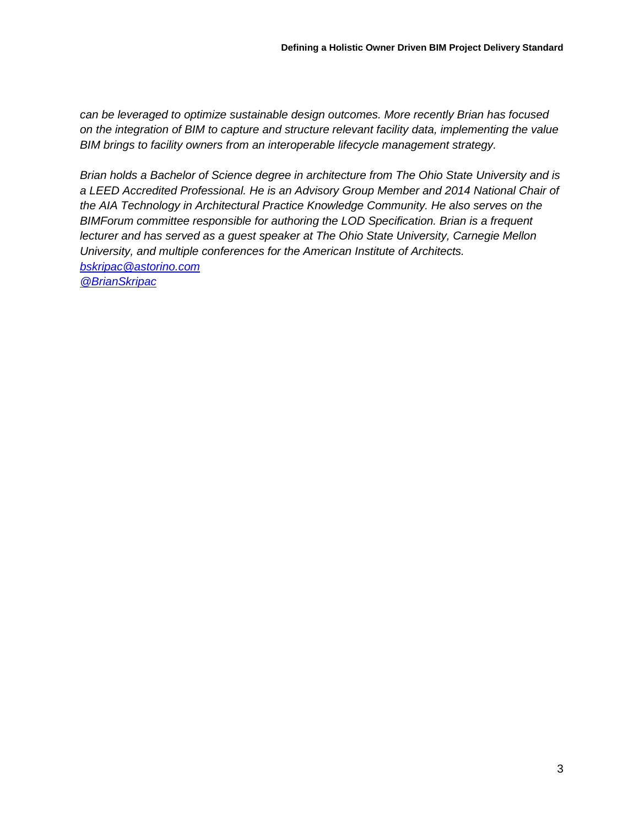*can be leveraged to optimize sustainable design outcomes. More recently Brian has focused on the integration of BIM to capture and structure relevant facility data, implementing the value BIM brings to facility owners from an interoperable lifecycle management strategy.*

*Brian holds a Bachelor of Science degree in architecture from The Ohio State University and is a LEED Accredited Professional. He is an Advisory Group Member and 2014 National Chair of the AIA Technology in Architectural Practice Knowledge Community. He also serves on the BIMForum committee responsible for authoring the LOD Specification. Brian is a frequent lecturer and has served as a guest speaker at The Ohio State University, Carnegie Mellon University, and multiple conferences for the American Institute of Architects. [bskripac@astorino.com](mailto:bskripac@astorino.com)* 

*[@BrianSkripac](https://twitter.com/BrianSkripac)*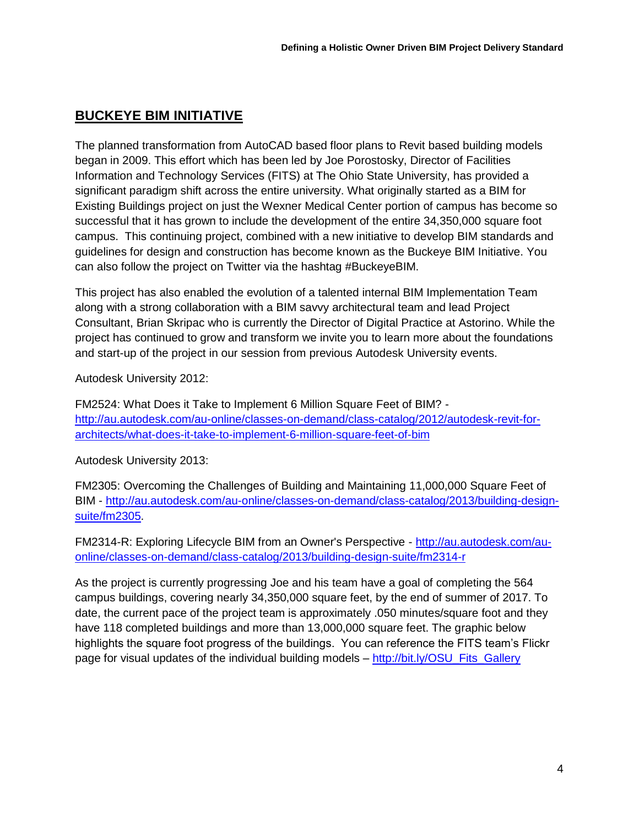# **BUCKEYE BIM INITIATIVE**

The planned transformation from AutoCAD based floor plans to Revit based building models began in 2009. This effort which has been led by Joe Porostosky, Director of Facilities Information and Technology Services (FITS) at The Ohio State University, has provided a significant paradigm shift across the entire university. What originally started as a BIM for Existing Buildings project on just the Wexner Medical Center portion of campus has become so successful that it has grown to include the development of the entire 34,350,000 square foot campus. This continuing project, combined with a new initiative to develop BIM standards and guidelines for design and construction has become known as the Buckeye BIM Initiative. You can also follow the project on Twitter via the hashtag #BuckeyeBIM.

This project has also enabled the evolution of a talented internal BIM Implementation Team along with a strong collaboration with a BIM savvy architectural team and lead Project Consultant, Brian Skripac who is currently the Director of Digital Practice at Astorino. While the project has continued to grow and transform we invite you to learn more about the foundations and start-up of the project in our session from previous Autodesk University events.

Autodesk University 2012:

FM2524: What Does it Take to Implement 6 Million Square Feet of BIM? [http://au.autodesk.com/au-online/classes-on-demand/class-catalog/2012/autodesk-revit-for](http://au.autodesk.com/au-online/classes-on-demand/class-catalog/2012/autodesk-revit-for-architects/what-does-it-take-to-implement-6-million-square-feet-of-bim)[architects/what-does-it-take-to-implement-6-million-square-feet-of-bim](http://au.autodesk.com/au-online/classes-on-demand/class-catalog/2012/autodesk-revit-for-architects/what-does-it-take-to-implement-6-million-square-feet-of-bim)

Autodesk University 2013:

FM2305: Overcoming the Challenges of Building and Maintaining 11,000,000 Square Feet of BIM - [http://au.autodesk.com/au-online/classes-on-demand/class-catalog/2013/building-design](http://au.autodesk.com/au-online/classes-on-demand/class-catalog/2013/building-design-suite/fm2305)[suite/fm2305.](http://au.autodesk.com/au-online/classes-on-demand/class-catalog/2013/building-design-suite/fm2305)

FM2314-R: Exploring Lifecycle BIM from an Owner's Perspective - [http://au.autodesk.com/au](http://au.autodesk.com/au-online/classes-on-demand/class-catalog/2013/building-design-suite/fm2314-r)[online/classes-on-demand/class-catalog/2013/building-design-suite/fm2314-r](http://au.autodesk.com/au-online/classes-on-demand/class-catalog/2013/building-design-suite/fm2314-r)

As the project is currently progressing Joe and his team have a goal of completing the 564 campus buildings, covering nearly 34,350,000 square feet, by the end of summer of 2017. To date, the current pace of the project team is approximately .050 minutes/square foot and they have 118 completed buildings and more than 13,000,000 square feet. The graphic below highlights the square foot progress of the buildings. You can reference the FITS team's Flickr page for visual updates of the individual building models – [http://bit.ly/OSU\\_Fits\\_Gallery](http://bit.ly/OSU_Fits_Gallery)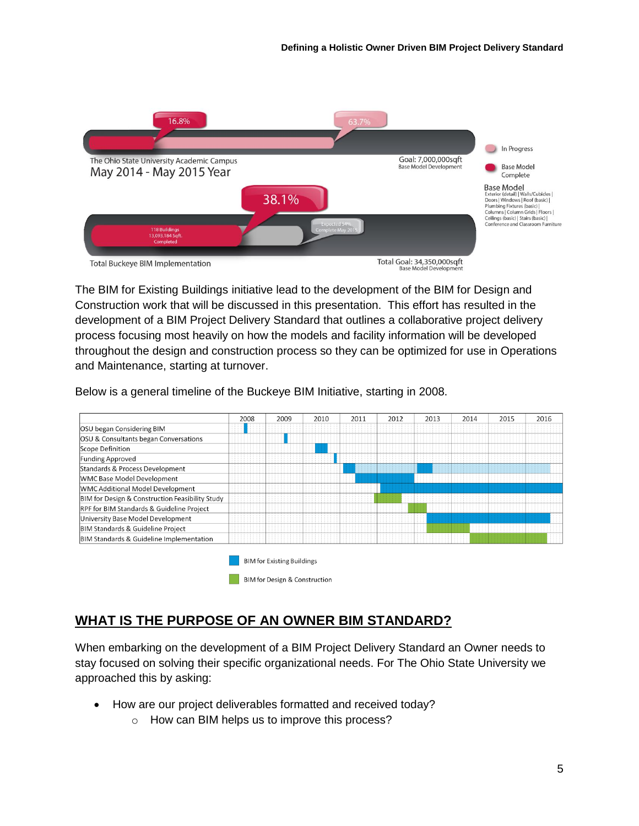

The BIM for Existing Buildings initiative lead to the development of the BIM for Design and Construction work that will be discussed in this presentation. This effort has resulted in the development of a BIM Project Delivery Standard that outlines a collaborative project delivery process focusing most heavily on how the models and facility information will be developed throughout the design and construction process so they can be optimized for use in Operations and Maintenance, starting at turnover.

Below is a general timeline of the Buckeye BIM Initiative, starting in 2008.



# **WHAT IS THE PURPOSE OF AN OWNER BIM STANDARD?**

When embarking on the development of a BIM Project Delivery Standard an Owner needs to stay focused on solving their specific organizational needs. For The Ohio State University we approached this by asking:

- How are our project deliverables formatted and received today?
	- o How can BIM helps us to improve this process?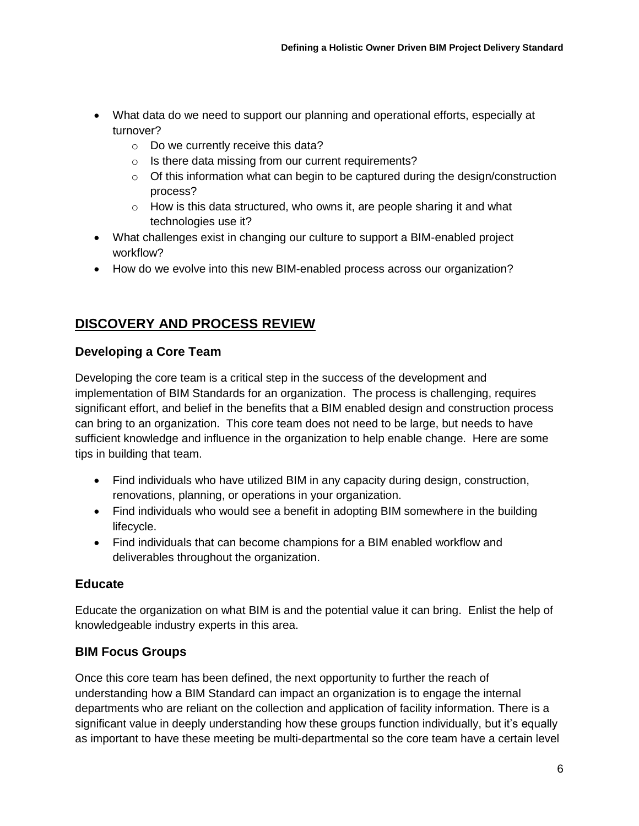- What data do we need to support our planning and operational efforts, especially at turnover?
	- o Do we currently receive this data?
	- o Is there data missing from our current requirements?
	- $\circ$  Of this information what can begin to be captured during the design/construction process?
	- $\circ$  How is this data structured, who owns it, are people sharing it and what technologies use it?
- What challenges exist in changing our culture to support a BIM-enabled project workflow?
- How do we evolve into this new BIM-enabled process across our organization?

# **DISCOVERY AND PROCESS REVIEW**

# **Developing a Core Team**

Developing the core team is a critical step in the success of the development and implementation of BIM Standards for an organization. The process is challenging, requires significant effort, and belief in the benefits that a BIM enabled design and construction process can bring to an organization. This core team does not need to be large, but needs to have sufficient knowledge and influence in the organization to help enable change. Here are some tips in building that team.

- Find individuals who have utilized BIM in any capacity during design, construction, renovations, planning, or operations in your organization.
- Find individuals who would see a benefit in adopting BIM somewhere in the building lifecycle.
- Find individuals that can become champions for a BIM enabled workflow and deliverables throughout the organization.

# **Educate**

Educate the organization on what BIM is and the potential value it can bring. Enlist the help of knowledgeable industry experts in this area.

# **BIM Focus Groups**

Once this core team has been defined, the next opportunity to further the reach of understanding how a BIM Standard can impact an organization is to engage the internal departments who are reliant on the collection and application of facility information. There is a significant value in deeply understanding how these groups function individually, but it's equally as important to have these meeting be multi-departmental so the core team have a certain level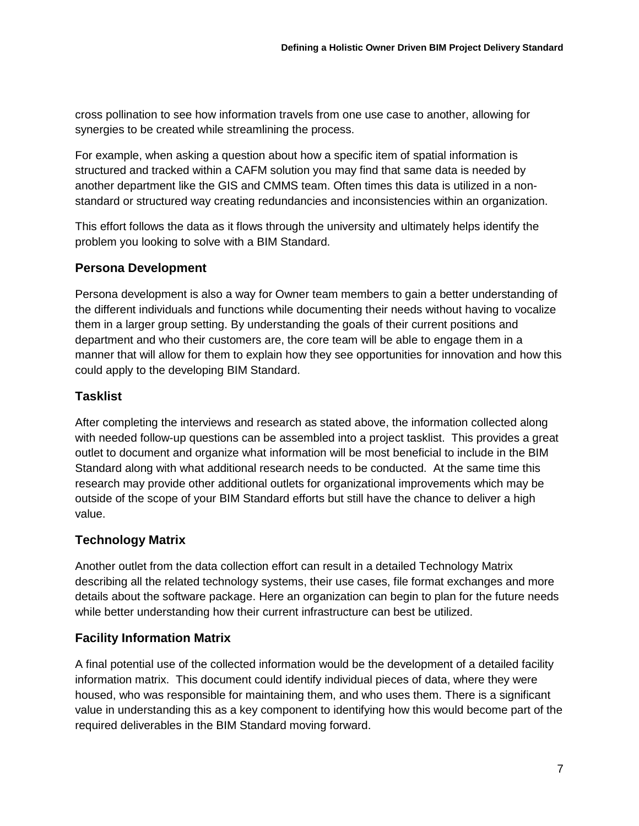cross pollination to see how information travels from one use case to another, allowing for synergies to be created while streamlining the process.

For example, when asking a question about how a specific item of spatial information is structured and tracked within a CAFM solution you may find that same data is needed by another department like the GIS and CMMS team. Often times this data is utilized in a nonstandard or structured way creating redundancies and inconsistencies within an organization.

This effort follows the data as it flows through the university and ultimately helps identify the problem you looking to solve with a BIM Standard.

# **Persona Development**

Persona development is also a way for Owner team members to gain a better understanding of the different individuals and functions while documenting their needs without having to vocalize them in a larger group setting. By understanding the goals of their current positions and department and who their customers are, the core team will be able to engage them in a manner that will allow for them to explain how they see opportunities for innovation and how this could apply to the developing BIM Standard.

# **Tasklist**

After completing the interviews and research as stated above, the information collected along with needed follow-up questions can be assembled into a project tasklist. This provides a great outlet to document and organize what information will be most beneficial to include in the BIM Standard along with what additional research needs to be conducted. At the same time this research may provide other additional outlets for organizational improvements which may be outside of the scope of your BIM Standard efforts but still have the chance to deliver a high value.

# **Technology Matrix**

Another outlet from the data collection effort can result in a detailed Technology Matrix describing all the related technology systems, their use cases, file format exchanges and more details about the software package. Here an organization can begin to plan for the future needs while better understanding how their current infrastructure can best be utilized.

# **Facility Information Matrix**

A final potential use of the collected information would be the development of a detailed facility information matrix. This document could identify individual pieces of data, where they were housed, who was responsible for maintaining them, and who uses them. There is a significant value in understanding this as a key component to identifying how this would become part of the required deliverables in the BIM Standard moving forward.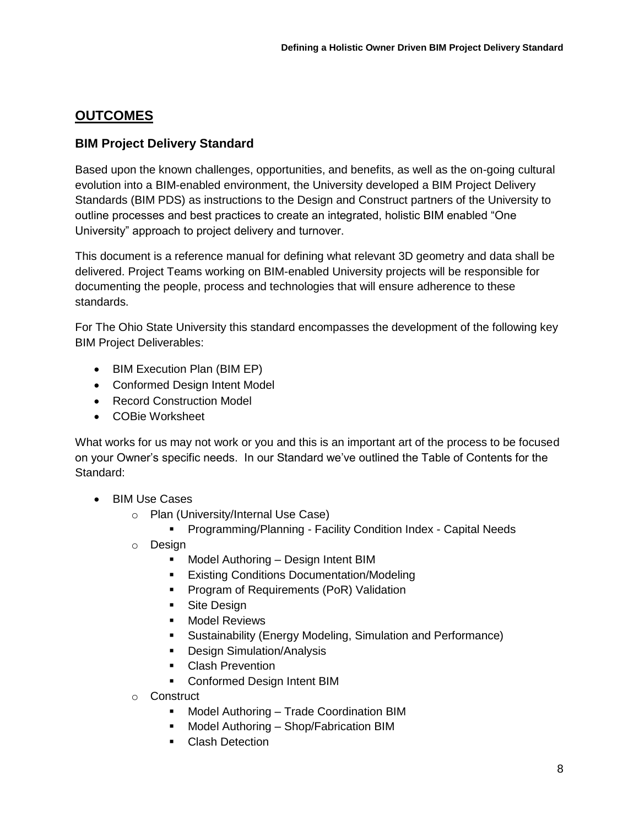# **OUTCOMES**

# **BIM Project Delivery Standard**

Based upon the known challenges, opportunities, and benefits, as well as the on-going cultural evolution into a BIM-enabled environment, the University developed a BIM Project Delivery Standards (BIM PDS) as instructions to the Design and Construct partners of the University to outline processes and best practices to create an integrated, holistic BIM enabled "One University" approach to project delivery and turnover.

This document is a reference manual for defining what relevant 3D geometry and data shall be delivered. Project Teams working on BIM-enabled University projects will be responsible for documenting the people, process and technologies that will ensure adherence to these standards.

For The Ohio State University this standard encompasses the development of the following key BIM Project Deliverables:

- BIM Execution Plan (BIM EP)
- Conformed Design Intent Model
- Record Construction Model
- COBie Worksheet

What works for us may not work or you and this is an important art of the process to be focused on your Owner's specific needs. In our Standard we've outlined the Table of Contents for the Standard:

- BIM Use Cases
	- o Plan (University/Internal Use Case)
		- **Programming/Planning Facility Condition Index Capital Needs**
	- o Design
		- **Model Authoring Design Intent BIM**
		- **Existing Conditions Documentation/Modeling**
		- Program of Requirements (PoR) Validation
		- **Site Design**
		- **Nodel Reviews**
		- Sustainability (Energy Modeling, Simulation and Performance)
		- **Design Simulation/Analysis**
		- **Clash Prevention**
		- Conformed Design Intent BIM
	- o Construct
		- Model Authoring Trade Coordination BIM
		- **Model Authoring Shop/Fabrication BIM**
		- **Clash Detection**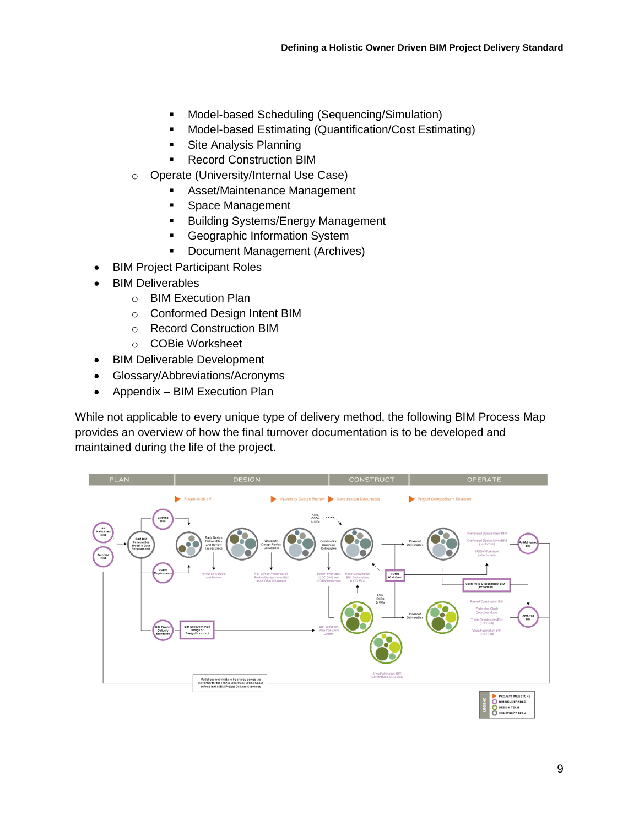- Model-based Scheduling (Sequencing/Simulation)
- **•** Model-based Estimating (Quantification/Cost Estimating)
- **Site Analysis Planning**
- **Record Construction BIM**
- o Operate (University/Internal Use Case)
	- Asset/Maintenance Management
	- **Space Management**
	- **Building Systems/Energy Management**
	- **Geographic Information System**
	- **Document Management (Archives)**
- BIM Project Participant Roles
- BIM Deliverables
	- o BIM Execution Plan
	- o Conformed Design Intent BIM
	- o Record Construction BIM
	- o COBie Worksheet
- BIM Deliverable Development
- Glossary/Abbreviations/Acronyms
- Appendix BIM Execution Plan

While not applicable to every unique type of delivery method, the following BIM Process Map provides an overview of how the final turnover documentation is to be developed and maintained during the life of the project.

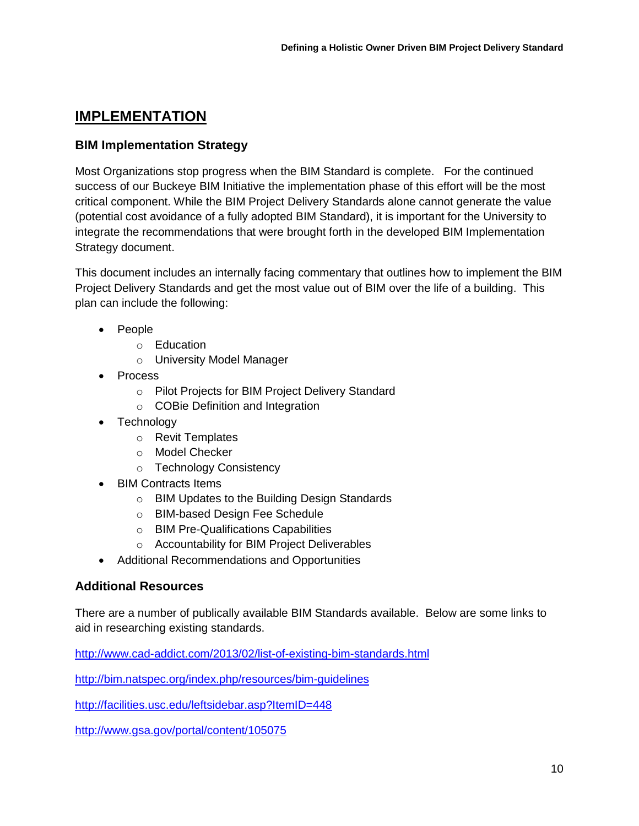# **IMPLEMENTATION**

### **BIM Implementation Strategy**

Most Organizations stop progress when the BIM Standard is complete. For the continued success of our Buckeye BIM Initiative the implementation phase of this effort will be the most critical component. While the BIM Project Delivery Standards alone cannot generate the value (potential cost avoidance of a fully adopted BIM Standard), it is important for the University to integrate the recommendations that were brought forth in the developed BIM Implementation Strategy document.

This document includes an internally facing commentary that outlines how to implement the BIM Project Delivery Standards and get the most value out of BIM over the life of a building. This plan can include the following:

- People
	- o Education
	- o University Model Manager
- Process
	- o Pilot Projects for BIM Project Delivery Standard
	- o COBie Definition and Integration
- Technology
	- o Revit Templates
	- o Model Checker
	- o Technology Consistency
- BIM Contracts Items
	- o BIM Updates to the Building Design Standards
	- o BIM-based Design Fee Schedule
	- o BIM Pre-Qualifications Capabilities
	- o Accountability for BIM Project Deliverables
- Additional Recommendations and Opportunities

#### **Additional Resources**

There are a number of publically available BIM Standards available. Below are some links to aid in researching existing standards.

<http://www.cad-addict.com/2013/02/list-of-existing-bim-standards.html>

<http://bim.natspec.org/index.php/resources/bim-guidelines>

<http://facilities.usc.edu/leftsidebar.asp?ItemID=448>

<http://www.gsa.gov/portal/content/105075>